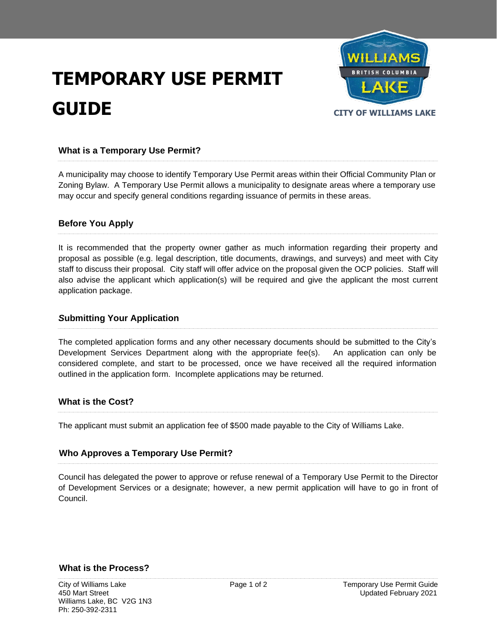# **TEMPORARY USE PERMIT GUIDE CITY OF WILLIAMS LAKE**



## **What is a Temporary Use Permit?**

A municipality may choose to identify Temporary Use Permit areas within their Official Community Plan or Zoning Bylaw. A Temporary Use Permit allows a municipality to designate areas where a temporary use may occur and specify general conditions regarding issuance of permits in these areas.

### **Before You Apply**

It is recommended that the property owner gather as much information regarding their property and proposal as possible (e.g. legal description, title documents, drawings, and surveys) and meet with City staff to discuss their proposal. City staff will offer advice on the proposal given the OCP policies. Staff will also advise the applicant which application(s) will be required and give the applicant the most current application package.

### *S***ubmitting Your Application**

The completed application forms and any other necessary documents should be submitted to the City's Development Services Department along with the appropriate fee(s). An application can only be considered complete, and start to be processed, once we have received all the required information outlined in the application form. Incomplete applications may be returned.

### **What is the Cost?**

The applicant must submit an application fee of \$500 made payable to the City of Williams Lake.

### **Who Approves a Temporary Use Permit?**

Council has delegated the power to approve or refuse renewal of a Temporary Use Permit to the Director of Development Services or a designate; however, a new permit application will have to go in front of Council.

#### **What is the Process?**